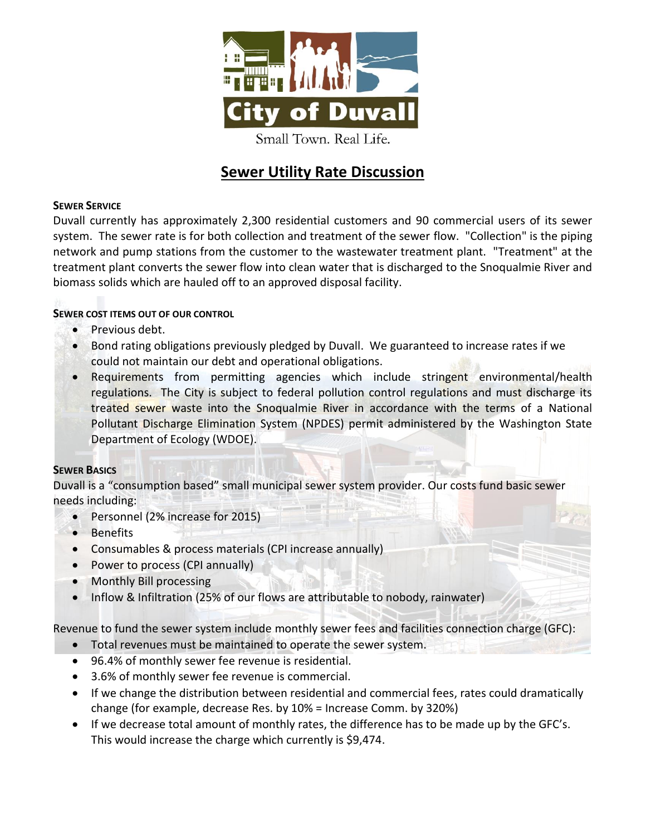

# **Sewer Utility Rate Discussion**

# **SEWER SERVICE**

Duvall currently has approximately 2,300 residential customers and 90 commercial users of its sewer system. The sewer rate is for both collection and treatment of the sewer flow. "Collection" is the piping network and pump stations from the customer to the wastewater treatment plant. "Treatment" at the treatment plant converts the sewer flow into clean water that is discharged to the Snoqualmie River and biomass solids which are hauled off to an approved disposal facility.

## **SEWER COST ITEMS OUT OF OUR CONTROL**

- Previous debt.
- Bond rating obligations previously pledged by Duvall. We guaranteed to increase rates if we could not maintain our debt and operational obligations.
- Requirements from permitting agencies which include stringent environmental/health regulations. The City is subject to federal pollution control regulations and must discharge its treated sewer waste into the Snoqualmie River in accordance with the terms of a National Pollutant Discharge Elimination System (NPDES) permit administered by the Washington State Department of Ecology (WDOE).

#### **SEWER BASICS**

Duvall is a "consumption based" small municipal sewer system provider. Our costs fund basic sewer needs including:

- Personnel (2% increase for 2015)
- Benefits
- Consumables & process materials (CPI increase annually)
- Power to process (CPI annually)
- Monthly Bill processing
- Inflow & Infiltration (25% of our flows are attributable to nobody, rainwater)

Revenue to fund the sewer system include monthly sewer fees and facilities connection charge (GFC):

- Total revenues must be maintained to operate the sewer system.
- 96.4% of monthly sewer fee revenue is residential.
- 3.6% of monthly sewer fee revenue is commercial.
- If we change the distribution between residential and commercial fees, rates could dramatically change (for example, decrease Res. by 10% = Increase Comm. by 320%)
- If we decrease total amount of monthly rates, the difference has to be made up by the GFC's. This would increase the charge which currently is \$9,474.